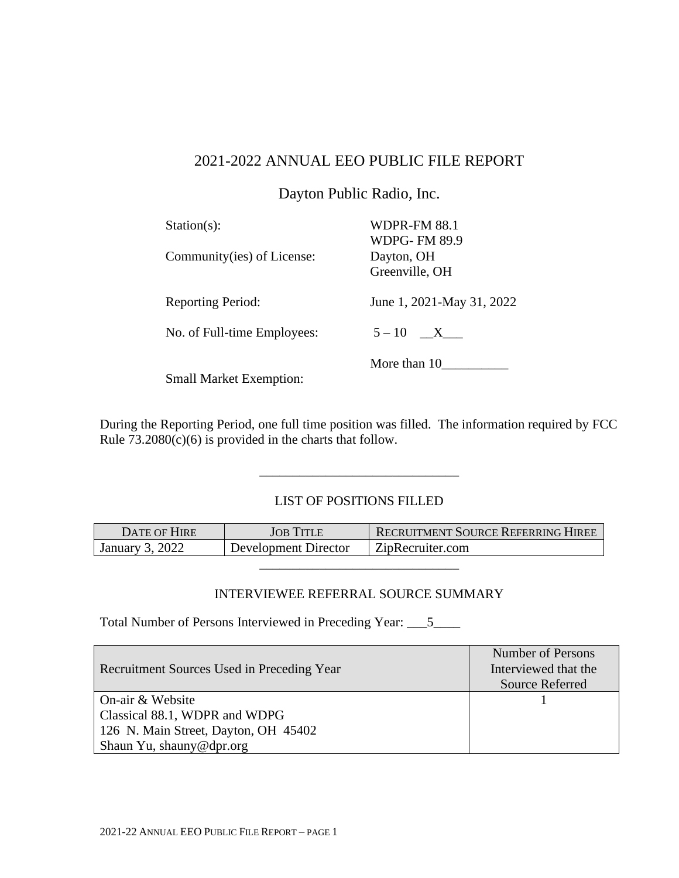## 2021-2022 ANNUAL EEO PUBLIC FILE REPORT

Dayton Public Radio, Inc.

| $Station(s)$ :<br>Community(ies) of License: | <b>WDPR-FM 88.1</b><br><b>WDPG-FM 89.9</b><br>Dayton, OH |
|----------------------------------------------|----------------------------------------------------------|
|                                              | Greenville, OH                                           |
| <b>Reporting Period:</b>                     | June 1, 2021-May 31, 2022                                |
| No. of Full-time Employees:                  | $5-10$ X                                                 |
| $\sim$<br>$11 \times 1 \times 1$             | More than 10                                             |

Small Market Exemption:

During the Reporting Period, one full time position was filled. The information required by FCC Rule  $73.2080(c)(6)$  is provided in the charts that follow.

## LIST OF POSITIONS FILLED

\_\_\_\_\_\_\_\_\_\_\_\_\_\_\_\_\_\_\_\_\_\_\_\_\_\_\_\_\_\_

| DATE OF HIRE    | <b>JOB TITLE</b>     | <b>RECRUITMENT SOURCE REFERRING HIREE</b> |
|-----------------|----------------------|-------------------------------------------|
| January 3, 2022 | Development Director | ZipRecruiter.com                          |

## INTERVIEWEE REFERRAL SOURCE SUMMARY

\_\_\_\_\_\_\_\_\_\_\_\_\_\_\_\_\_\_\_\_\_\_\_\_\_\_\_\_\_\_

Total Number of Persons Interviewed in Preceding Year: \_\_\_5\_\_\_\_

| Recruitment Sources Used in Preceding Year | Number of Persons<br>Interviewed that the |
|--------------------------------------------|-------------------------------------------|
|                                            | <b>Source Referred</b>                    |
| On-air & Website                           |                                           |
| Classical 88.1, WDPR and WDPG              |                                           |
| 126 N. Main Street, Dayton, OH 45402       |                                           |
| Shaun Yu, shauny@dpr.org                   |                                           |